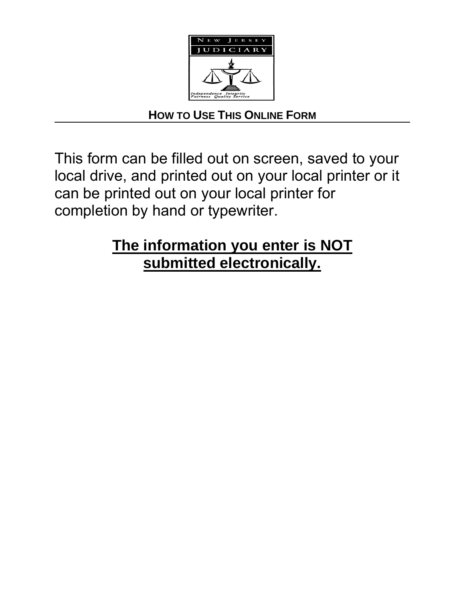

## **HOW TO USE THIS ONLINE FORM**

This form can be filled out on screen, saved to your local drive, and printed out on your local printer or it can be printed out on your local printer for completion by hand or typewriter.

# **The information you enter is NOT submitted electronically.**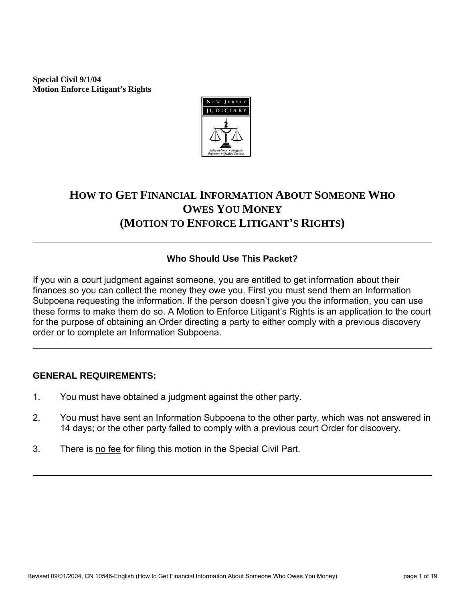**Special Civil 9/1/04 Motion Enforce Litigant's Rights**



## **HOW TO GET FINANCIAL INFORMATION ABOUT SOMEONE WHO OWES YOU MONEY (MOTION TO ENFORCE LITIGANT'S RIGHTS)**

## **Who Should Use This Packet?**

If you win a court judgment against someone, you are entitled to get information about their finances so you can collect the money they owe you. First you must send them an Information Subpoena requesting the information. If the person doesn't give you the information, you can use these forms to make them do so. A Motion to Enforce Litigant's Rights is an application to the court for the purpose of obtaining an Order directing a party to either comply with a previous discovery order or to complete an Information Subpoena.

## **GENERAL REQUIREMENTS:**

- 1. You must have obtained a judgment against the other party.
- 2. You must have sent an Information Subpoena to the other party, which was not answered in 14 days; or the other party failed to comply with a previous court Order for discovery.
- 3. There is no fee for filing this motion in the Special Civil Part.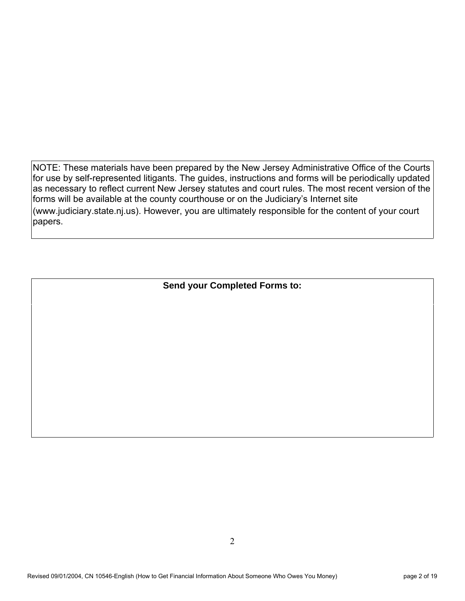NOTE: These materials have been prepared by the New Jersey Administrative Office of the Courts for use by self-represented litigants. The guides, instructions and forms will be periodically updated as necessary to reflect current New Jersey statutes and court rules. The most recent version of the forms will be available at the county courthouse or on the Judiciary's Internet site (www.judiciary.state.nj.us). However, you are ultimately responsible for the content of your court papers.

**Send your Completed Forms to:**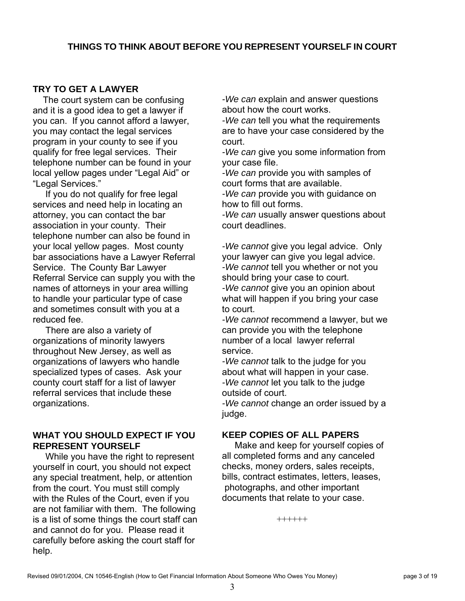## **TRY TO GET A LAWYER**

 The court system can be confusing and it is a good idea to get a lawyer if you can. If you cannot afford a lawyer, you may contact the legal services program in your county to see if you qualify for free legal services. Their telephone number can be found in your local yellow pages under "Legal Aid" or "Legal Services."

 If you do not qualify for free legal services and need help in locating an attorney, you can contact the bar association in your county. Their telephone number can also be found in your local yellow pages. Most county bar associations have a Lawyer Referral Service. The County Bar Lawyer Referral Service can supply you with the names of attorneys in your area willing to handle your particular type of case and sometimes consult with you at a reduced fee.

 There are also a variety of organizations of minority lawyers throughout New Jersey, as well as organizations of lawyers who handle specialized types of cases. Ask your county court staff for a list of lawyer referral services that include these organizations.

## **WHAT YOU SHOULD EXPECT IF YOU REPRESENT YOURSELF**

 While you have the right to represent yourself in court, you should not expect any special treatment, help, or attention from the court. You must still comply with the Rules of the Court, even if you are not familiar with them. The following is a list of some things the court staff can and cannot do for you. Please read it carefully before asking the court staff for help.

*-We can* explain and answer questions about how the court works.

*-We can* tell you what the requirements are to have your case considered by the court.

*-We can* give you some information from your case file.

*-We can* provide you with samples of court forms that are available.

*-We can* provide you with guidance on how to fill out forms.

*-We can* usually answer questions about court deadlines.

*-We cannot* give you legal advice. Only your lawyer can give you legal advice. *-We cannot* tell you whether or not you should bring your case to court. *-We cannot* give you an opinion about what will happen if you bring your case to court.

*-We cannot* recommend a lawyer, but we can provide you with the telephone number of a local lawyer referral service.

*-We cannot* talk to the judge for you about what will happen in your case. *-We cannot* let you talk to the judge outside of court.

*-We cannot* change an order issued by a judge.

## **KEEP COPIES OF ALL PAPERS**

 Make and keep for yourself copies of all completed forms and any canceled checks, money orders, sales receipts, bills, contract estimates, letters, leases, photographs, and other important documents that relate to your case.

++++++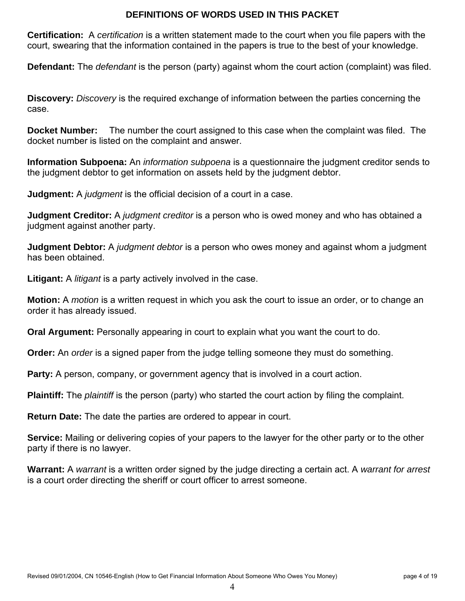#### **DEFINITIONS OF WORDS USED IN THIS PACKET**

**Certification:** A *certification* is a written statement made to the court when you file papers with the court, swearing that the information contained in the papers is true to the best of your knowledge.

**Defendant:** The *defendant* is the person (party) against whom the court action (complaint) was filed.

**Discovery:** *Discovery* is the required exchange of information between the parties concerning the case.

**Docket Number:** The number the court assigned to this case when the complaint was filed. The docket number is listed on the complaint and answer.

**Information Subpoena:** An *information subpoena* is a questionnaire the judgment creditor sends to the judgment debtor to get information on assets held by the judgment debtor.

**Judgment:** A *judgment* is the official decision of a court in a case.

**Judgment Creditor:** A *judgment creditor* is a person who is owed money and who has obtained a judgment against another party.

**Judgment Debtor:** A *judgment debtor* is a person who owes money and against whom a judgment has been obtained.

**Litigant:** A *litigant* is a party actively involved in the case.

**Motion:** A *motion* is a written request in which you ask the court to issue an order, or to change an order it has already issued.

**Oral Argument:** Personally appearing in court to explain what you want the court to do.

**Order:** An *order* is a signed paper from the judge telling someone they must do something.

**Party:** A person, company, or government agency that is involved in a court action.

**Plaintiff:** The *plaintiff* is the person (party) who started the court action by filing the complaint.

**Return Date:** The date the parties are ordered to appear in court.

**Service:** Mailing or delivering copies of your papers to the lawyer for the other party or to the other party if there is no lawyer.

**Warrant:** A *warrant* is a written order signed by the judge directing a certain act. A *warrant for arrest* is a court order directing the sheriff or court officer to arrest someone.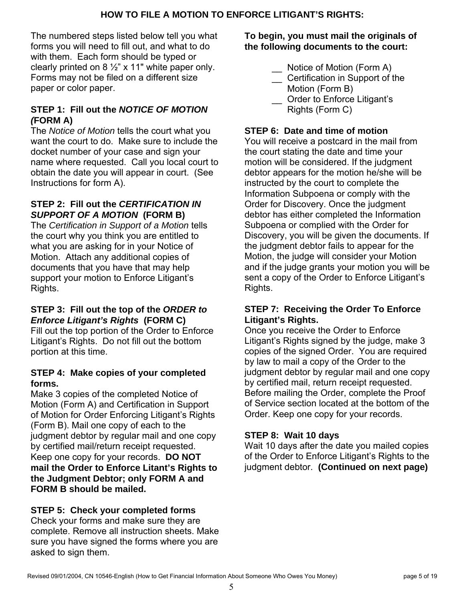The numbered steps listed below tell you what forms you will need to fill out, and what to do with them. Each form should be typed or clearly printed on  $8\frac{1}{2}$ " x 11" white paper only. Forms may not be filed on a different size paper or color paper.

## **STEP 1: Fill out the** *NOTICE OF MOTION (***FORM A)**

The *Notice of Motion* tells the court what you want the court to do. Make sure to include the docket number of your case and sign your name where requested. Call you local court to obtain the date you will appear in court. (See Instructions for form A).

## **STEP 2: Fill out the** *CERTIFICATION IN SUPPORT OF A MOTION* **(FORM B)**

The *Certification in Support of a Motion* tells the court why you think you are entitled to what you are asking for in your Notice of Motion. Attach any additional copies of documents that you have that may help support your motion to Enforce Litigant's Rights.

## **STEP 3: Fill out the top of the** *ORDER to Enforce Litigant's Rights* **(FORM C)**

Fill out the top portion of the Order to Enforce Litigant's Rights. Do not fill out the bottom portion at this time.

## **STEP 4: Make copies of your completed forms.**

Make 3 copies of the completed Notice of Motion (Form A) and Certification in Support of Motion for Order Enforcing Litigant's Rights (Form B). Mail one copy of each to the judgment debtor by regular mail and one copy by certified mail/return receipt requested. Keep one copy for your records. **DO NOT mail the Order to Enforce Litant's Rights to the Judgment Debtor; only FORM A and FORM B should be mailed.**

## **STEP 5: Check your completed forms**

Check your forms and make sure they are complete. Remove all instruction sheets. Make sure you have signed the forms where you are asked to sign them.

## **To begin, you must mail the originals of the following documents to the court:**

- Notice of Motion (Form A)
- \_\_ Certification in Support of the Motion (Form B)
- Order to Enforce Litigant's Rights (Form C)

## **STEP 6: Date and time of motion**

You will receive a postcard in the mail from the court stating the date and time your motion will be considered. If the judgment debtor appears for the motion he/she will be instructed by the court to complete the Information Subpoena or comply with the Order for Discovery. Once the judgment debtor has either completed the Information Subpoena or complied with the Order for Discovery, you will be given the documents. If the judgment debtor fails to appear for the Motion, the judge will consider your Motion and if the judge grants your motion you will be sent a copy of the Order to Enforce Litigant's Rights.

## **STEP 7: Receiving the Order To Enforce Litigant's Rights.**

Once you receive the Order to Enforce Litigant's Rights signed by the judge, make 3 copies of the signed Order. You are required by law to mail a copy of the Order to the judgment debtor by regular mail and one copy by certified mail, return receipt requested. Before mailing the Order, complete the Proof of Service section located at the bottom of the Order. Keep one copy for your records.

## **STEP 8: Wait 10 days**

Wait 10 days after the date you mailed copies of the Order to Enforce Litigant's Rights to the judgment debtor. **(Continued on next page)**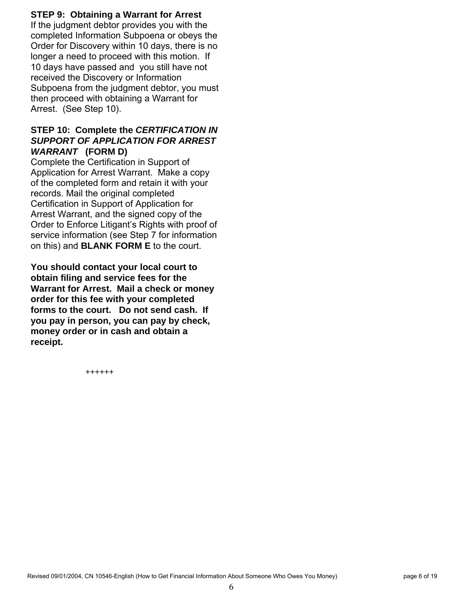## **STEP 9: Obtaining a Warrant for Arrest**

If the judgment debtor provides you with the completed Information Subpoena or obeys the Order for Discovery within 10 days, there is no longer a need to proceed with this motion. If 10 days have passed and you still have not received the Discovery or Information Subpoena from the judgment debtor, you must then proceed with obtaining a Warrant for Arrest. (See Step 10).

## **STEP 10: Complete the** *CERTIFICATION IN SUPPORT OF APPLICATION FOR ARREST WARRANT* **(FORM D)**

Complete the Certification in Support of Application for Arrest Warrant. Make a copy of the completed form and retain it with your records. Mail the original completed Certification in Support of Application for Arrest Warrant, and the signed copy of the Order to Enforce Litigant's Rights with proof of service information (see Step 7 for information on this) and **BLANK FORM E** to the court.

**You should contact your local court to obtain filing and service fees for the Warrant for Arrest. Mail a check or money order for this fee with your completed forms to the court. Do not send cash. If you pay in person, you can pay by check, money order or in cash and obtain a receipt.**

**++++++**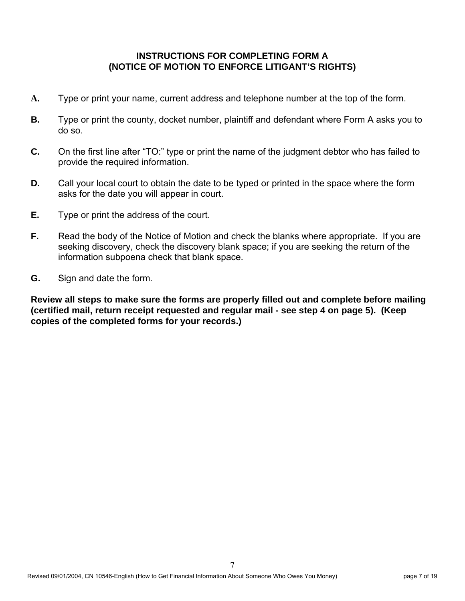## **INSTRUCTIONS FOR COMPLETING FORM A (NOTICE OF MOTION TO ENFORCE LITIGANT'S RIGHTS)**

- **A.** Type or print your name, current address and telephone number at the top of the form.
- **B.** Type or print the county, docket number, plaintiff and defendant where Form A asks you to do so.
- **C.** On the first line after "TO:" type or print the name of the judgment debtor who has failed to provide the required information.
- **D.** Call your local court to obtain the date to be typed or printed in the space where the form asks for the date you will appear in court.
- **E.** Type or print the address of the court.
- **F.** Read the body of the Notice of Motion and check the blanks where appropriate. If you are seeking discovery, check the discovery blank space; if you are seeking the return of the information subpoena check that blank space.
- **G.** Sign and date the form.

**Review all steps to make sure the forms are properly filled out and complete before mailing (certified mail, return receipt requested and regular mail - see step 4 on page 5). (Keep copies of the completed forms for your records.)**

7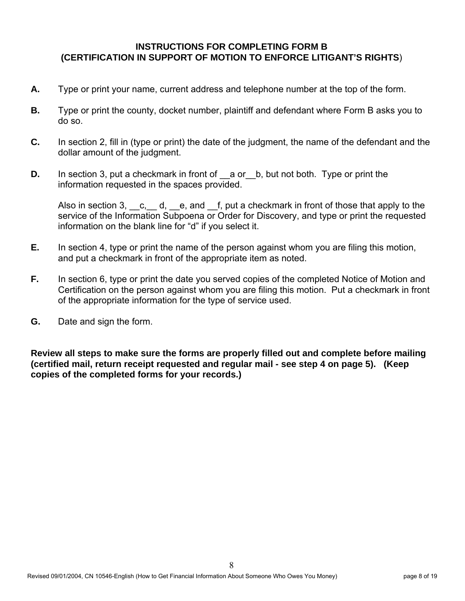#### **INSTRUCTIONS FOR COMPLETING FORM B (CERTIFICATION IN SUPPORT OF MOTION TO ENFORCE LITIGANT'S RIGHTS**)

- **A.** Type or print your name, current address and telephone number at the top of the form.
- **B.** Type or print the county, docket number, plaintiff and defendant where Form B asks you to do so.
- **C.** In section 2, fill in (type or print) the date of the judgment, the name of the defendant and the dollar amount of the judgment.
- **D.** In section 3, put a checkmark in front of a or b, but not both. Type or print the information requested in the spaces provided.

Also in section 3,  $\cdot$  c,  $\cdot$  d,  $\cdot$  e, and  $\cdot$  f, put a checkmark in front of those that apply to the service of the Information Subpoena or Order for Discovery, and type or print the requested information on the blank line for "d" if you select it.

- **E.** In section 4, type or print the name of the person against whom you are filing this motion, and put a checkmark in front of the appropriate item as noted.
- **F.** In section 6, type or print the date you served copies of the completed Notice of Motion and Certification on the person against whom you are filing this motion. Put a checkmark in front of the appropriate information for the type of service used.
- **G.** Date and sign the form.

**Review all steps to make sure the forms are properly filled out and complete before mailing (certified mail, return receipt requested and regular mail - see step 4 on page 5). (Keep copies of the completed forms for your records.)**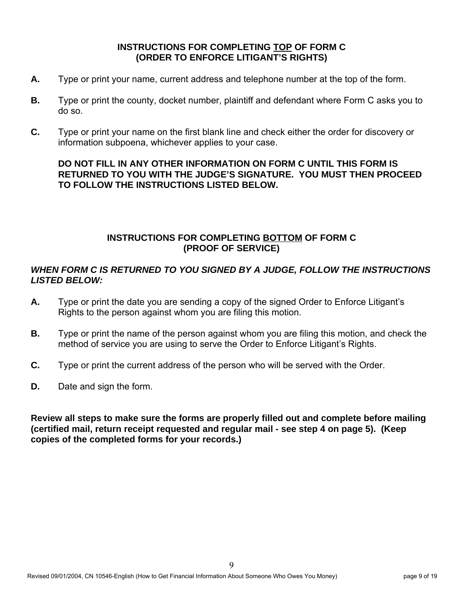## **INSTRUCTIONS FOR COMPLETING TOP OF FORM C (ORDER TO ENFORCE LITIGANT'S RIGHTS)**

- **A.** Type or print your name, current address and telephone number at the top of the form.
- **B.** Type or print the county, docket number, plaintiff and defendant where Form C asks you to do so.
- **C.** Type or print your name on the first blank line and check either the order for discovery or information subpoena, whichever applies to your case.

## **DO NOT FILL IN ANY OTHER INFORMATION ON FORM C UNTIL THIS FORM IS RETURNED TO YOU WITH THE JUDGE'S SIGNATURE. YOU MUST THEN PROCEED TO FOLLOW THE INSTRUCTIONS LISTED BELOW.**

## **INSTRUCTIONS FOR COMPLETING BOTTOM OF FORM C (PROOF OF SERVICE)**

## *WHEN FORM C IS RETURNED TO YOU SIGNED BY A JUDGE, FOLLOW THE INSTRUCTIONS LISTED BELOW:*

- **A.** Type or print the date you are sending a copy of the signed Order to Enforce Litigant's Rights to the person against whom you are filing this motion.
- **B.** Type or print the name of the person against whom you are filing this motion, and check the method of service you are using to serve the Order to Enforce Litigant's Rights.
- **C.** Type or print the current address of the person who will be served with the Order.
- **D.** Date and sign the form.

**Review all steps to make sure the forms are properly filled out and complete before mailing (certified mail, return receipt requested and regular mail - see step 4 on page 5). (Keep copies of the completed forms for your records.)**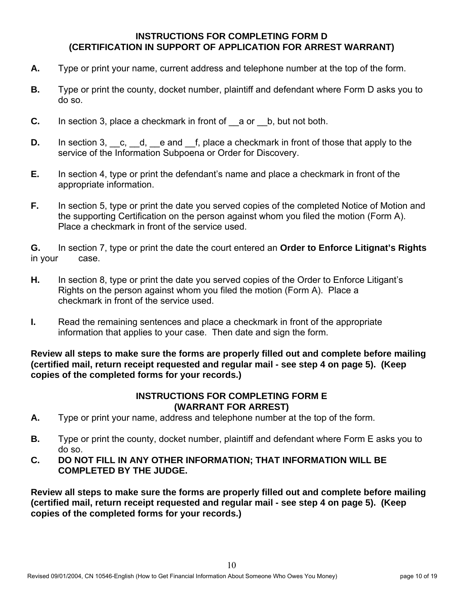## **INSTRUCTIONS FOR COMPLETING FORM D (CERTIFICATION IN SUPPORT OF APPLICATION FOR ARREST WARRANT)**

- **A.** Type or print your name, current address and telephone number at the top of the form.
- **B.** Type or print the county, docket number, plaintiff and defendant where Form D asks you to do so.
- **C.** In section 3, place a checkmark in front of a or b, but not both.
- **D.** In section 3, c, d, e and f, place a checkmark in front of those that apply to the service of the Information Subpoena or Order for Discovery.
- **E.** In section 4, type or print the defendant's name and place a checkmark in front of the appropriate information.
- **F.** In section 5, type or print the date you served copies of the completed Notice of Motion and the supporting Certification on the person against whom you filed the motion (Form A). Place a checkmark in front of the service used.

**G.** In section 7, type or print the date the court entered an **Order to Enforce Litignat's Rights** in your case.

- **H.** In section 8, type or print the date you served copies of the Order to Enforce Litigant's Rights on the person against whom you filed the motion (Form A). Place a checkmark in front of the service used.
- **I.** Read the remaining sentences and place a checkmark in front of the appropriate information that applies to your case. Then date and sign the form.

**Review all steps to make sure the forms are properly filled out and complete before mailing (certified mail, return receipt requested and regular mail - see step 4 on page 5). (Keep copies of the completed forms for your records.)**

## **INSTRUCTIONS FOR COMPLETING FORM E (WARRANT FOR ARREST)**

- **A.** Type or print your name, address and telephone number at the top of the form.
- **B.** Type or print the county, docket number, plaintiff and defendant where Form E asks you to do so.
- **C. DO NOT FILL IN ANY OTHER INFORMATION; THAT INFORMATION WILL BE COMPLETED BY THE JUDGE.**

**Review all steps to make sure the forms are properly filled out and complete before mailing (certified mail, return receipt requested and regular mail - see step 4 on page 5). (Keep copies of the completed forms for your records.)**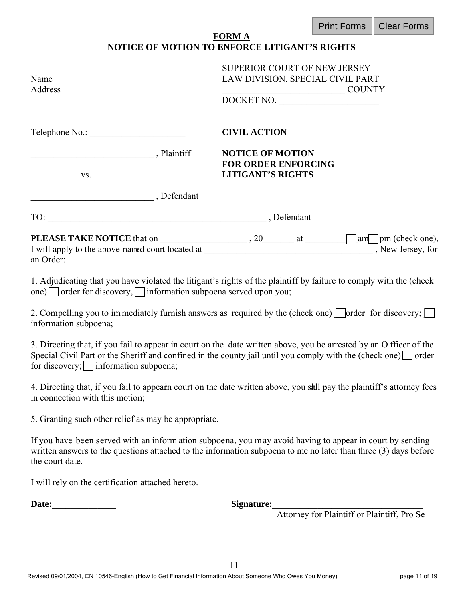|  | Print Forms   Clear Forms |
|--|---------------------------|
|--|---------------------------|

| <b>FORM A</b>                                        |  |
|------------------------------------------------------|--|
| <b>NOTICE OF MOTION TO ENFORCE LITIGANT'S RIGHTS</b> |  |

| Name<br>Address                                                 | SUPERIOR COURT OF NEW JERSEY<br>LAW DIVISION, SPECIAL CIVIL PART<br>DOCKET NO.                                                                                                                                                             |
|-----------------------------------------------------------------|--------------------------------------------------------------------------------------------------------------------------------------------------------------------------------------------------------------------------------------------|
|                                                                 | <b>CIVIL ACTION</b>                                                                                                                                                                                                                        |
| Plaintiff<br>VS.                                                | <b>NOTICE OF MOTION</b><br><b>FOR ORDER ENFORCING</b><br><b>LITIGANT'S RIGHTS</b>                                                                                                                                                          |
| Defendant                                                       |                                                                                                                                                                                                                                            |
|                                                                 |                                                                                                                                                                                                                                            |
| an Order:                                                       |                                                                                                                                                                                                                                            |
| one) order for discovery, information subpoena served upon you; | 1. Adjudicating that you have violated the litigant's rights of the plaintiff by failure to comply with the (check                                                                                                                         |
| information subpoena;                                           | 2. Compelling you to immediately furnish answers as required by the (check one) $\Box$ order for discovery; $\Box$                                                                                                                         |
| for discovery; information subpoena;                            | 3. Directing that, if you fail to appear in court on the date written above, you be arrested by an O fficer of the<br>Special Civil Part or the Sheriff and confined in the county jail until you comply with the (check one) $\Box$ order |
| in connection with this motion;                                 | 4. Directing that, if you fail to appearn court on the date written above, you sall pay the plaintiff's attorney fees                                                                                                                      |

5. Granting such other relief as may be appropriate.

If you have been served with an inform ation subpoena, you may avoid having to appear in court by sending written answers to the questions attached to the information subpoena to me no later than three (3) days before the court date.

I will rely on the certification attached hereto.

**Date:**\_\_\_\_\_\_\_\_\_\_\_\_\_\_ **Signature:**\_\_\_\_\_\_\_\_\_\_\_\_\_\_\_\_\_\_\_\_\_\_\_\_\_\_\_\_\_\_\_\_\_

Attorney for Plaintiff or Plaintiff, Pro Se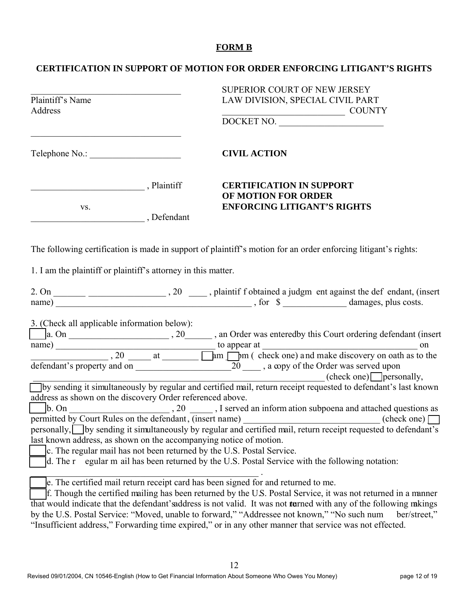#### **FORM B**

#### **CERTIFICATION IN SUPPORT OF MOTION FOR ORDER ENFORCING LITIGANT'S RIGHTS**

| Plaintiff's Name<br>Address                                                                                                                                                                               |  | SUPERIOR COURT OF NEW JERSEY<br>LAW DIVISION, SPECIAL CIVIL PART                                                                                                                                                                                                                                                                                                                                                                                                                                                                                                                              |
|-----------------------------------------------------------------------------------------------------------------------------------------------------------------------------------------------------------|--|-----------------------------------------------------------------------------------------------------------------------------------------------------------------------------------------------------------------------------------------------------------------------------------------------------------------------------------------------------------------------------------------------------------------------------------------------------------------------------------------------------------------------------------------------------------------------------------------------|
|                                                                                                                                                                                                           |  | DOCKET NO.                                                                                                                                                                                                                                                                                                                                                                                                                                                                                                                                                                                    |
|                                                                                                                                                                                                           |  | <b>CIVIL ACTION</b>                                                                                                                                                                                                                                                                                                                                                                                                                                                                                                                                                                           |
| Plaintiff                                                                                                                                                                                                 |  | <b>CERTIFICATION IN SUPPORT</b><br>OF MOTION FOR ORDER                                                                                                                                                                                                                                                                                                                                                                                                                                                                                                                                        |
| VS.<br>Defendant                                                                                                                                                                                          |  | <b>ENFORCING LITIGANT'S RIGHTS</b>                                                                                                                                                                                                                                                                                                                                                                                                                                                                                                                                                            |
|                                                                                                                                                                                                           |  | The following certification is made in support of plaintiff's motion for an order enforcing litigant's rights:                                                                                                                                                                                                                                                                                                                                                                                                                                                                                |
| 1. I am the plaintiff or plaintiff's attorney in this matter.                                                                                                                                             |  |                                                                                                                                                                                                                                                                                                                                                                                                                                                                                                                                                                                               |
|                                                                                                                                                                                                           |  | 2. On $\frac{1}{\text{name}}$ , 20 $\frac{1}{\text{mathrm}}$ , plaintif f obtained a judgm ent against the def endant, (insert name) $\frac{1}{\text{mathrm}}$ , for $\frac{\text{mathrm}}{\text{mathrm}}$ amages, plus costs.                                                                                                                                                                                                                                                                                                                                                                |
| 3. (Check all applicable information below):                                                                                                                                                              |  | defendant's property and on $\overline{20}$ , a copy of the Order was served upon                                                                                                                                                                                                                                                                                                                                                                                                                                                                                                             |
| address as shown on the discovery Order referenced above.<br>permitted by Court Rules on the defendant, (insert name)<br>last known address, as shown on the accompanying notice of motion.<br>$d.$ The r |  | $(check one)$ personally,<br>by sending it simultaneously by regular and certified mail, return receipt requested to defendant's last known<br>$\boxed{\phantom{a}}$ b. On $\boxed{\phantom{a}}$ , 20 $\boxed{\phantom{a}}$ , I served an information subpoena and attached questions as<br>(check one)<br>personally, by sending it simultaneously by regular and certified mail, return receipt requested to defendant's<br>c. The regular mail has not been returned by the U.S. Postal Service.<br>egular m ail has been returned by the U.S. Postal Service with the following notation: |
|                                                                                                                                                                                                           |  | e. The certified mail return receipt card has been signed for and returned to me.<br>f. Though the certified mailing has been returned by the U.S. Postal Service, it was not returned in a manner<br>that would indicate that the defendant's address is not valid. It was not turned with any of the following mkings                                                                                                                                                                                                                                                                       |

by the U.S. Postal Service: "Moved, unable to forward," "Addressee not known," "No such num ber/street," "Insufficient address," Forwarding time expired," or in any other manner that service was not effected.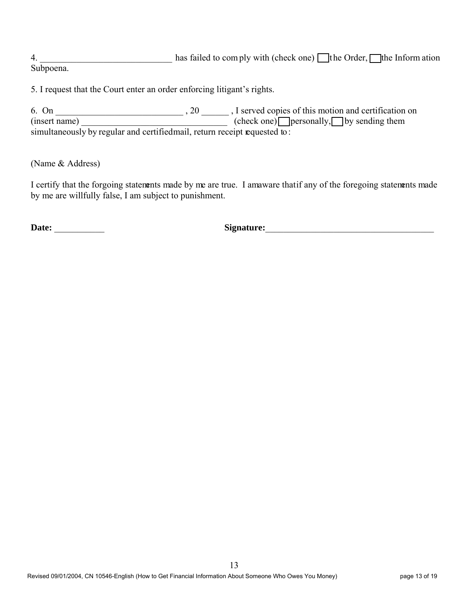4.  $\blacksquare$  has failed to com ply with (check one)  $\blacksquare$  the Order,  $\blacksquare$  the Inform ation Subpoena.

5. I request that the Court enter an order enforcing litigant's rights.

6. On  $\Box$  , 20  $\Box$ , I served copies of this motion and certification on (insert name) \_\_\_\_\_\_\_\_\_\_\_\_\_\_\_\_\_\_\_\_\_\_\_\_\_\_\_\_\_\_\_\_\_\_\_ (check one) \_\_\_\_\_personally, \_\_\_\_\_by sending them simultaneously by regular and certified mail, return receipt requested to:

(Name & Address)

I certify that the forgoing statements made by me are true. I amaware that if any of the foregoing statements made by me are willfully false, I am subject to punishment.

**Date:** \_\_\_\_\_\_\_\_\_\_\_ **Signature:**\_\_\_\_\_\_\_\_\_\_\_\_\_\_\_\_\_\_\_\_\_\_\_\_\_\_\_\_\_\_\_\_\_\_\_\_\_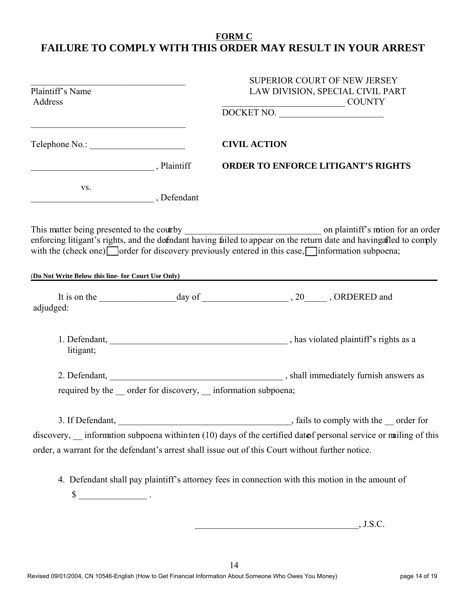## **FORM C FAILURE TO COMPLY WITH THIS ORDER MAY RESULT IN YOUR ARREST**

| SUPERIOR COURT OF NEW JERSEY<br>Plaintiff's Name<br>LAW DIVISION, SPECIAL CIVIL PART<br>Address<br>DOCKET NO. |  |                                                                                                                                                                                                                        |
|---------------------------------------------------------------------------------------------------------------|--|------------------------------------------------------------------------------------------------------------------------------------------------------------------------------------------------------------------------|
|                                                                                                               |  | <b>CIVIL ACTION</b>                                                                                                                                                                                                    |
| Plaintiff                                                                                                     |  | <b>ORDER TO ENFORCE LITIGANT'S RIGHTS</b>                                                                                                                                                                              |
| VS.<br>Defendant                                                                                              |  |                                                                                                                                                                                                                        |
|                                                                                                               |  | with the (check one) $\Box$ order for discovery previously entered in this case, $\Box$ information subpoena;<br>(Do Not Write Below this line- for Court Use Only)                                                    |
|                                                                                                               |  |                                                                                                                                                                                                                        |
| adjudged:                                                                                                     |  |                                                                                                                                                                                                                        |
| litigant;                                                                                                     |  |                                                                                                                                                                                                                        |
|                                                                                                               |  | required by the __ order for discovery, __ information subpoena;                                                                                                                                                       |
|                                                                                                               |  |                                                                                                                                                                                                                        |
|                                                                                                               |  | discovery, __ information subpoena withinten (10) days of the certified datof personal service or mailing of this<br>order, a warrant for the defendant's arrest shall issue out of this Court without further notice. |
| $\frac{\text{S}}{\text{S}}$ .                                                                                 |  | 4. Defendant shall pay plaintiff's attorney fees in connection with this motion in the amount of                                                                                                                       |

\_\_\_\_\_\_\_\_\_\_\_\_\_\_\_\_\_\_\_\_\_\_\_\_\_\_\_\_\_\_\_\_\_\_\_\_, J.S.C.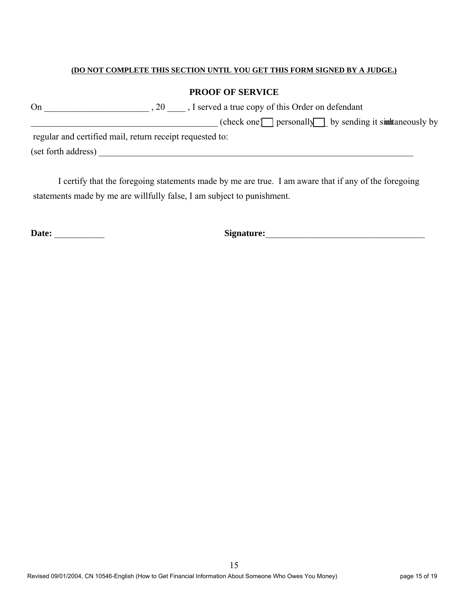#### **(DO NOT COMPLETE THIS SECTION UNTIL YOU GET THIS FORM SIGNED BY A JUDGE.)**

#### **PROOF OF SERVICE**

| On                  | , I served a true copy of this Order on defendant<br>$\, . \, 20$ |
|---------------------|-------------------------------------------------------------------|
|                     | $(check one)$ personally by sending it simultaneously by          |
|                     | regular and certified mail, return receipt requested to:          |
| (set forth address) |                                                                   |

I certify that the foregoing statements made by me are true. I am aware that if any of the foregoing statements made by me are willfully false, I am subject to punishment.

**Date:** \_\_\_\_\_\_\_\_\_\_\_ **Signature:**\_\_\_\_\_\_\_\_\_\_\_\_\_\_\_\_\_\_\_\_\_\_\_\_\_\_\_\_\_\_\_\_\_\_\_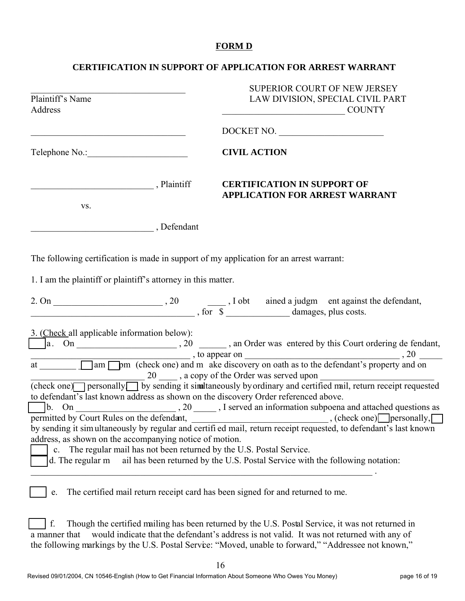#### **FORM D**

## **CERTIFICATION IN SUPPORT OF APPLICATION FOR ARREST WARRANT**

| Plaintiff's Name<br>Address<br><u> 1989 - Johann Barbara, margaret eta idazlea (h. 1989).</u> |  | <b>SUPERIOR COURT OF NEW JERSEY</b><br>LAW DIVISION, SPECIAL CIVIL PART<br><b>COUNTY</b>                                                                                                                                                                                                                                                                                                                                                        |  |
|-----------------------------------------------------------------------------------------------|--|-------------------------------------------------------------------------------------------------------------------------------------------------------------------------------------------------------------------------------------------------------------------------------------------------------------------------------------------------------------------------------------------------------------------------------------------------|--|
|                                                                                               |  | DOCKET NO.                                                                                                                                                                                                                                                                                                                                                                                                                                      |  |
|                                                                                               |  | <b>CIVIL ACTION</b>                                                                                                                                                                                                                                                                                                                                                                                                                             |  |
| Plaintiff                                                                                     |  | <b>CERTIFICATION IN SUPPORT OF</b><br><b>APPLICATION FOR ARREST WARRANT</b>                                                                                                                                                                                                                                                                                                                                                                     |  |
| VS.<br>Defendant                                                                              |  |                                                                                                                                                                                                                                                                                                                                                                                                                                                 |  |
|                                                                                               |  | The following certification is made in support of my application for an arrest warrant:                                                                                                                                                                                                                                                                                                                                                         |  |
| 1. I am the plaintiff or plaintiff's attorney in this matter.                                 |  |                                                                                                                                                                                                                                                                                                                                                                                                                                                 |  |
|                                                                                               |  |                                                                                                                                                                                                                                                                                                                                                                                                                                                 |  |
| 3. (Check all applicable information below):                                                  |  | $\boxed{\phantom{a}\phantom{a}}$ a. On $\phantom{a}\phantom{a}\phantom{a}\phantom{a}\phantom{a}$ . 20 $\phantom{a}\phantom{a}\phantom{a}\phantom{a}$ an Order was entered by this Court ordering de fendant,                                                                                                                                                                                                                                    |  |
|                                                                                               |  | $\frac{1}{\text{at } \underline{\hspace{1cm}}}$ , to appear on<br>$\frac{1}{\text{at } \underline{\hspace{1cm}}}$ , 20 $\frac{1}{\text{at } \underline{\hspace{1cm}}}$ , 20 $\frac{1}{\text{at } \underline{\hspace{1cm}}}$ , 20 $\frac{1}{\text{at } \underline{\hspace{1cm}}}$ , 20 $\frac{1}{\text{at } \underline{\hspace{1cm}}}$ , 20 $\frac{1}{\text{at } \underline{\hspace{1cm}}}$ , 20 $\frac{1}{\text{at } \underline{\hspace{1cm}}}$ |  |
|                                                                                               |  | (check one) personally by sending it similtaneously by ordinary and certified mail, return receipt requested<br>to defendant's last known address as shown on the discovery Order referenced above.                                                                                                                                                                                                                                             |  |
|                                                                                               |  |                                                                                                                                                                                                                                                                                                                                                                                                                                                 |  |
| address, as shown on the accompanying notice of motion.<br>d. The regular m                   |  | by sending it simultaneously by regular and certified mail, return receipt requested, to defendant's last known<br>c. The regular mail has not been returned by the U.S. Postal Service.<br>ail has been returned by the U.S. Postal Service with the following notation:                                                                                                                                                                       |  |
| e.                                                                                            |  | The certified mail return receipt card has been signed for and returned to me.                                                                                                                                                                                                                                                                                                                                                                  |  |
| f.<br>a manner that                                                                           |  | Though the certified mailing has been returned by the U.S. Postal Service, it was not returned in<br>would indicate that the defendant's address is not valid. It was not returned with any of<br>the following markings by the U.S. Postal Service: "Moved, unable to forward," "Addressee not known,"                                                                                                                                         |  |
|                                                                                               |  | 16                                                                                                                                                                                                                                                                                                                                                                                                                                              |  |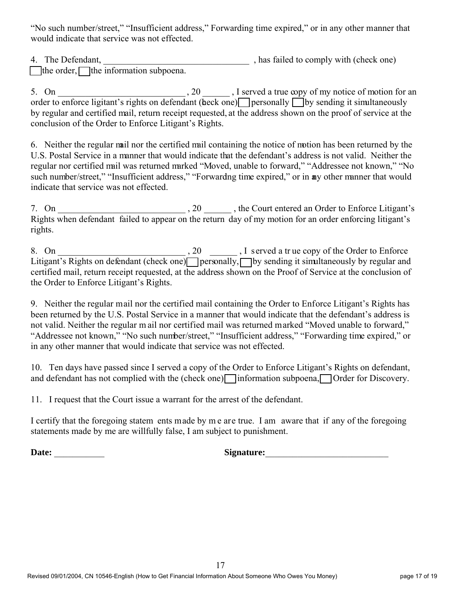"No such number/street," "Insufficient address," Forwarding time expired," or in any other manner that would indicate that service was not effected.

4. The Defendant,  $\qquad \qquad$  , has failed to comply with (check one)  $\Box$  the order,  $\Box$  the information subpoena.

5. On \_\_\_\_\_\_\_\_\_\_\_\_\_\_\_\_\_\_\_\_\_\_\_\_\_\_\_\_ , 20 \_\_\_\_\_\_ , I served a true copy of my notice of motion for an order to enforce ligitant's rights on defendant (beck one) personally  $\bigcap$  by sending it simultaneously by regular and certified mail, return receipt requested, at the address shown on the proof of service at the conclusion of the Order to Enforce Litigant's Rights.

6. Neither the regular mail nor the certified mail containing the notice of motion has been returned by the U.S. Postal Service in a manner that would indicate that the defendant's address is not valid. Neither the regular nor certified mail was returned marked "Moved, unable to forward," "Addressee not known," "No such number/street," "Insufficient address," "Forwardng time expired," or in any other manner that would indicate that service was not effected.

7. On \_\_\_\_\_\_\_\_\_\_\_\_\_\_\_\_\_\_\_\_\_\_\_\_\_\_\_\_ , 20 \_\_\_\_\_\_ , the Court entered an Order to Enforce Litigant's Rights when defendant failed to appear on the return day of my motion for an order enforcing litigant's rights.

8. On \_\_\_\_\_\_\_\_\_\_\_\_\_\_\_\_\_\_\_\_\_\_\_\_\_\_\_\_ , 20 \_\_\_\_\_\_ , I served a tr ue copy of the Order to Enforce Litigant's Rights on defendant (check one) personally, by sending it simultaneously by regular and certified mail, return receipt requested, at the address shown on the Proof of Service at the conclusion of the Order to Enforce Litigant's Rights.

9. Neither the regular mail nor the certified mail containing the Order to Enforce Litigant's Rights has been returned by the U.S. Postal Service in a manner that would indicate that the defendant's address is not valid. Neither the regular m ail nor certified mail was returned marked "Moved unable to forward," "Addressee not known," "No such number/street," "Insufficient address," "Forwarding time expired," or in any other manner that would indicate that service was not effected.

10. Ten days have passed since I served a copy of the Order to Enforce Litigant's Rights on defendant, and defendant has not complied with the (check one) information subpoena,  $\Box$  Order for Discovery.

11. I request that the Court issue a warrant for the arrest of the defendant.

I certify that the foregoing statem ents made by m e are true. I am aware that if any of the foregoing statements made by me are willfully false, I am subject to punishment.

**Date:** \_\_\_\_\_\_\_\_\_\_\_ **Signature:**\_\_\_\_\_\_\_\_\_\_\_\_\_\_\_\_\_\_\_\_\_\_\_\_\_\_\_

| Signature: |  |  |
|------------|--|--|
|            |  |  |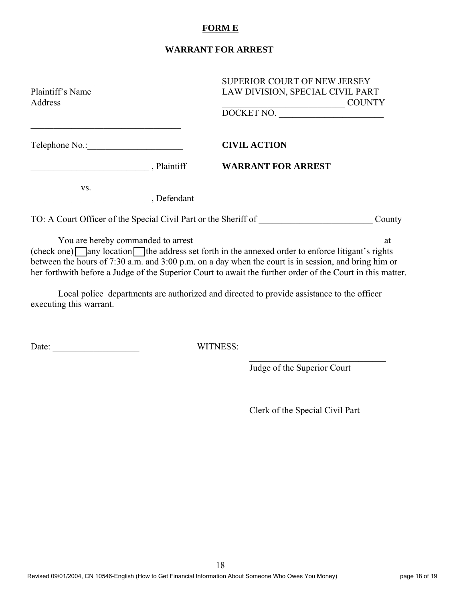#### **FORM E**

#### **WARRANT FOR ARREST**

|                  |           | <b>SUPERIOR COURT OF NEW JERSEY</b>                                                                        |  |  |
|------------------|-----------|------------------------------------------------------------------------------------------------------------|--|--|
| Plaintiff's Name |           | LAW DIVISION, SPECIAL CIVIL PART                                                                           |  |  |
| Address          |           | <b>COUNTY</b>                                                                                              |  |  |
|                  |           | DOCKET NO.                                                                                                 |  |  |
| Telephone No.:   |           | <b>CIVIL ACTION</b>                                                                                        |  |  |
|                  | Plaintiff | <b>WARRANT FOR ARREST</b>                                                                                  |  |  |
| VS.              | Defendant |                                                                                                            |  |  |
|                  |           | TO: A Court Officer of the Special Civil Part or the Sheriff of<br>County                                  |  |  |
|                  |           |                                                                                                            |  |  |
|                  |           | at                                                                                                         |  |  |
|                  |           | $(check one)$ any location the address set forth in the annexed order to enforce litigant's rights         |  |  |
|                  |           | between the hours of 7:30 a.m. and 3:00 p.m. on a day when the court is in session, and bring him or       |  |  |
|                  |           | her forthwith before a Judge of the Superior Court to await the further order of the Court in this matter. |  |  |

Local police departments are authorized and directed to provide assistance to the officer executing this warrant.

Date: \_\_\_\_\_\_\_\_\_\_\_\_\_\_\_\_\_\_\_ WITNESS:

Judge of the Superior Court

 $\overline{\phantom{a}}$ 

 $\overline{\phantom{a}}$ 

Clerk of the Special Civil Part